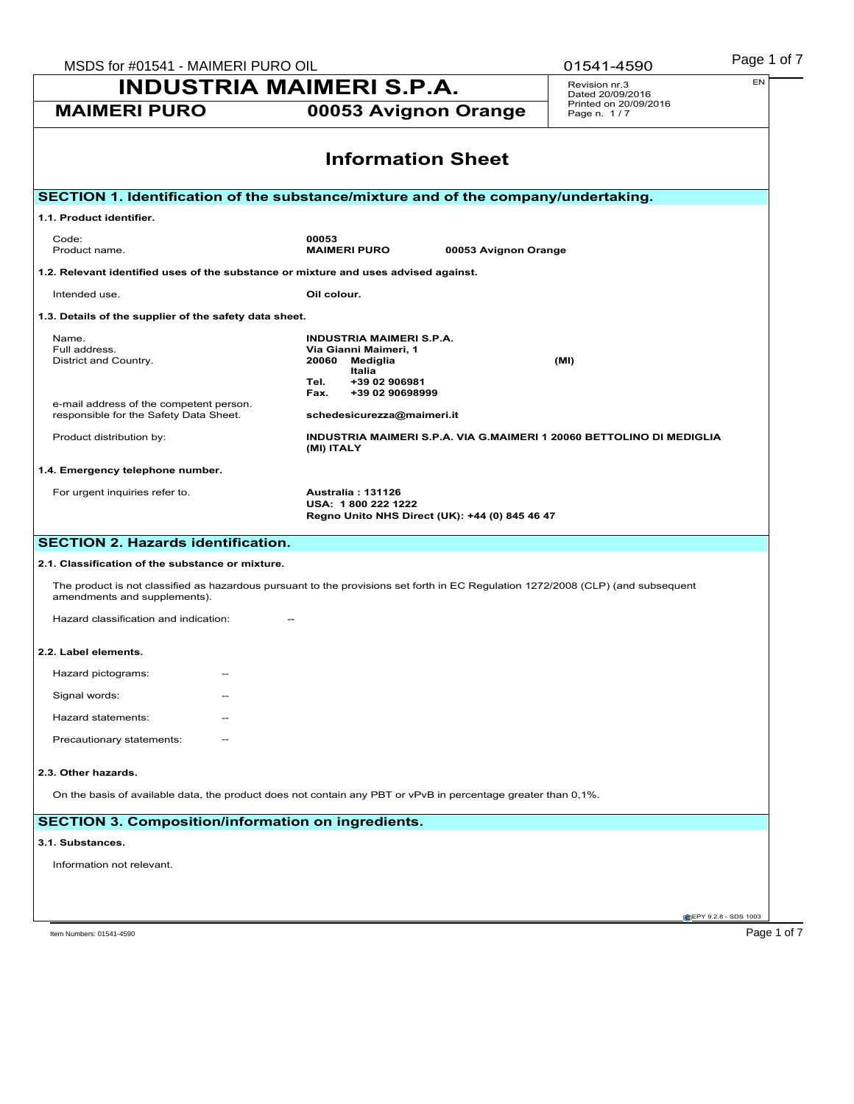| MSDS for #01541 - MAIMERI PURO OIL                                                |                                                                                                                                             |                      | 01541-4590                           | Page 1 of 7                                 |
|-----------------------------------------------------------------------------------|---------------------------------------------------------------------------------------------------------------------------------------------|----------------------|--------------------------------------|---------------------------------------------|
| <b>INDUSTRIA MAIMERI S.P.A.</b>                                                   |                                                                                                                                             |                      | Revision nr.3<br>Dated 20/09/2016    | EN                                          |
| <b>MAIMERI PURO</b>                                                               | 00053 Avignon Orange                                                                                                                        |                      | Printed on 20/09/2016<br>Page n. 1/7 |                                             |
|                                                                                   | <b>Information Sheet</b>                                                                                                                    |                      |                                      |                                             |
|                                                                                   | SECTION 1. Identification of the substance/mixture and of the company/undertaking.                                                          |                      |                                      |                                             |
| 1.1. Product identifier.                                                          |                                                                                                                                             |                      |                                      |                                             |
| Code:<br>Product name.                                                            | 00053<br><b>MAIMERI PURO</b>                                                                                                                | 00053 Avignon Orange |                                      |                                             |
|                                                                                   | 1.2. Relevant identified uses of the substance or mixture and uses advised against.                                                         |                      |                                      |                                             |
| Intended use.                                                                     | Oil colour.                                                                                                                                 |                      |                                      |                                             |
| 1.3. Details of the supplier of the safety data sheet.                            |                                                                                                                                             |                      |                                      |                                             |
| Name.<br>Full address.<br>District and Country.                                   | <b>INDUSTRIA MAIMERI S.P.A.</b><br>Via Gianni Maimeri, 1<br>20060<br>Mediglia<br>Italia<br>+39 02 906981<br>Tel.<br>Fax.<br>+39 02 90698999 |                      | (MI)                                 |                                             |
| e-mail address of the competent person.<br>responsible for the Safety Data Sheet. | schedesicurezza@maimeri.it                                                                                                                  |                      |                                      |                                             |
| Product distribution by:                                                          | INDUSTRIA MAIMERI S.P.A. VIA G.MAIMERI 1 20060 BETTOLINO DI MEDIGLIA<br>(MI) ITALY                                                          |                      |                                      |                                             |
| 1.4. Emergency telephone number.                                                  |                                                                                                                                             |                      |                                      |                                             |
| For urgent inquiries refer to.                                                    | Australia: 131126<br>USA: 1800 222 1222<br>Regno Unito NHS Direct (UK): +44 (0) 845 46 47                                                   |                      |                                      |                                             |
| <b>SECTION 2. Hazards identification.</b>                                         |                                                                                                                                             |                      |                                      |                                             |
| 2.1. Classification of the substance or mixture.                                  |                                                                                                                                             |                      |                                      |                                             |
| amendments and supplements).                                                      | The product is not classified as hazardous pursuant to the provisions set forth in EC Regulation 1272/2008 (CLP) (and subsequent            |                      |                                      |                                             |
| Hazard classification and indication:                                             |                                                                                                                                             |                      |                                      |                                             |
| 2.2. Label elements.                                                              |                                                                                                                                             |                      |                                      |                                             |
| Hazard pictograms:<br>$\overline{\phantom{m}}$                                    |                                                                                                                                             |                      |                                      |                                             |
| Signal words:                                                                     |                                                                                                                                             |                      |                                      |                                             |
| Hazard statements:                                                                |                                                                                                                                             |                      |                                      |                                             |
| Precautionary statements:                                                         |                                                                                                                                             |                      |                                      |                                             |
| 2.3. Other hazards.                                                               |                                                                                                                                             |                      |                                      |                                             |
|                                                                                   | On the basis of available data, the product does not contain any PBT or vPvB in percentage greater than 0,1%.                               |                      |                                      |                                             |
| <b>SECTION 3. Composition/information on ingredients.</b>                         |                                                                                                                                             |                      |                                      |                                             |
| 3.1. Substances.                                                                  |                                                                                                                                             |                      |                                      |                                             |
| Information not relevant.                                                         |                                                                                                                                             |                      |                                      |                                             |
|                                                                                   |                                                                                                                                             |                      |                                      |                                             |
|                                                                                   |                                                                                                                                             |                      |                                      |                                             |
| Item Numbers: 01541-4590                                                          |                                                                                                                                             |                      |                                      | <b>@EPY 9.2.8 - SDS 1003</b><br>Page 1 of 7 |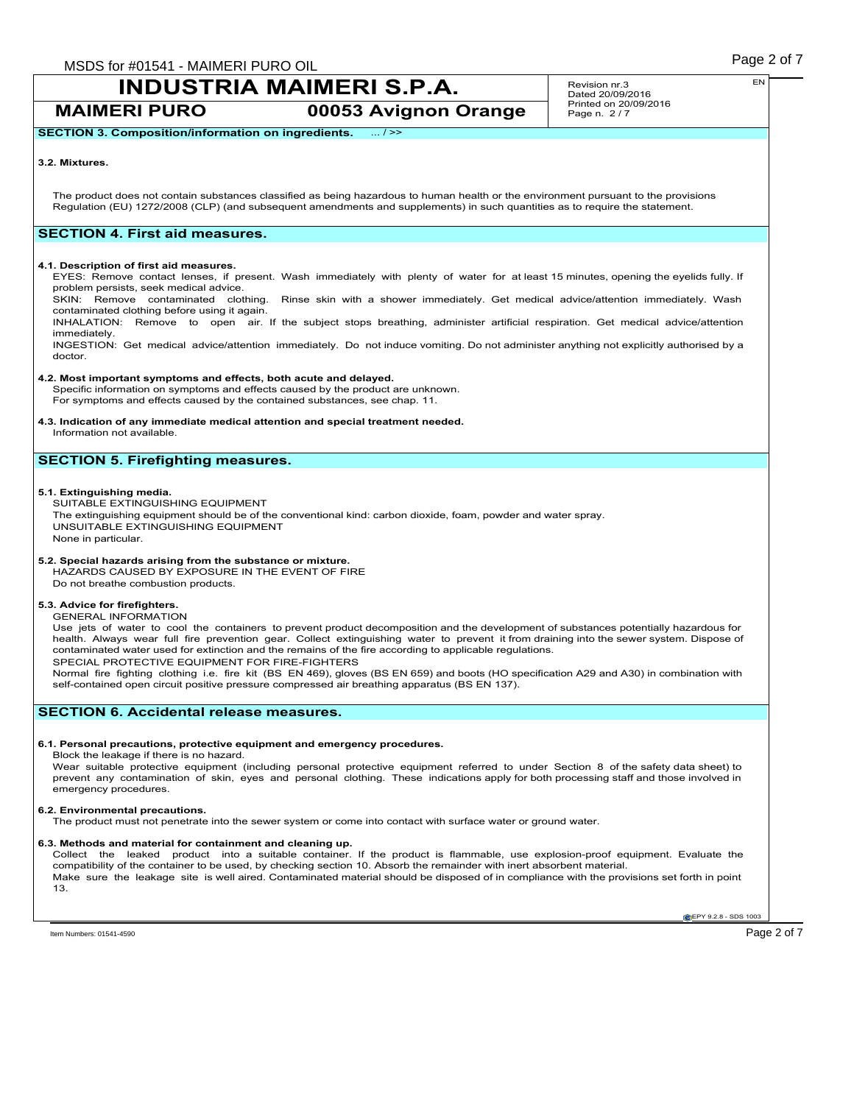**MAIMERI PURO 00053 Avignon Orange**

Revision nr.3 Dated 20/09/2016 Printed on 20/09/2016 Page n. 2/7

**SECTION 3. Composition/information on ingredients.** ... / >>

### **3.2. Mixtures.**

The product does not contain substances classified as being hazardous to human health or the environment pursuant to the provisions Regulation (EU) 1272/2008 (CLP) (and subsequent amendments and supplements) in such quantities as to require the statement.

# **SECTION 4. First aid measures.**

### **4.1. Description of first aid measures.**

EYES: Remove contact lenses, if present. Wash immediately with plenty of water for at least 15 minutes, opening the eyelids fully. If problem persists, seek medical advice.

SKIN: Remove contaminated clothing. Rinse skin with a shower immediately. Get medical advice/attention immediately. Wash contaminated clothing before using it again.

INHALATION: Remove to open air. If the subject stops breathing, administer artificial respiration. Get medical advice/attention immediately.

INGESTION: Get medical advice/attention immediately. Do not induce vomiting. Do not administer anything not explicitly authorised by a doctor.

### **4.2. Most important symptoms and effects, both acute and delayed.**

Specific information on symptoms and effects caused by the product are unknown. For symptoms and effects caused by the contained substances, see chap. 11.

# **4.3. Indication of any immediate medical attention and special treatment needed.**

Information not available.

# **SECTION 5. Firefighting measures.**

### **5.1. Extinguishing media.**

SUITABLE EXTINGUISHING EQUIPMENT The extinguishing equipment should be of the conventional kind: carbon dioxide, foam, powder and water spray. UNSUITABLE EXTINGUISHING EQUIPMENT None in particular.

## **5.2. Special hazards arising from the substance or mixture.**

HAZARDS CAUSED BY EXPOSURE IN THE EVENT OF FIRE Do not breathe combustion products.

### **5.3. Advice for firefighters.**

GENERAL INFORMATION

Use jets of water to cool the containers to prevent product decomposition and the development of substances potentially hazardous for health. Always wear full fire prevention gear. Collect extinguishing water to prevent it from draining into the sewer system. Dispose of contaminated water used for extinction and the remains of the fire according to applicable regulations. SPECIAL PROTECTIVE EQUIPMENT FOR FIRE-FIGHTERS

Normal fire fighting clothing i.e. fire kit (BS EN 469), gloves (BS EN 659) and boots (HO specification A29 and A30) in combination with self-contained open circuit positive pressure compressed air breathing apparatus (BS EN 137).

# **SECTION 6. Accidental release measures.**

### **6.1. Personal precautions, protective equipment and emergency procedures.**

Block the leakage if there is no hazard.

Wear suitable protective equipment (including personal protective equipment referred to under Section 8 of the safety data sheet) to<br>prevent any contamination of skin, eyes and personal clothing. These indications apply fo emergency procedures.

#### **6.2. Environmental precautions.**

The product must not penetrate into the sewer system or come into contact with surface water or ground water.

### **6.3. Methods and material for containment and cleaning up.**

Collect the leaked product into a suitable container. If the product is flammable, use explosion-proof equipment. Evaluate the compatibility of the container to be used, by checking section 10. Absorb the remainder with inert absorbent material. Make sure the leakage site is well aired. Contaminated material should be disposed of in compliance with the provisions set forth in point 13.

**EPY 9.2.8 - SDS 1003** 

EN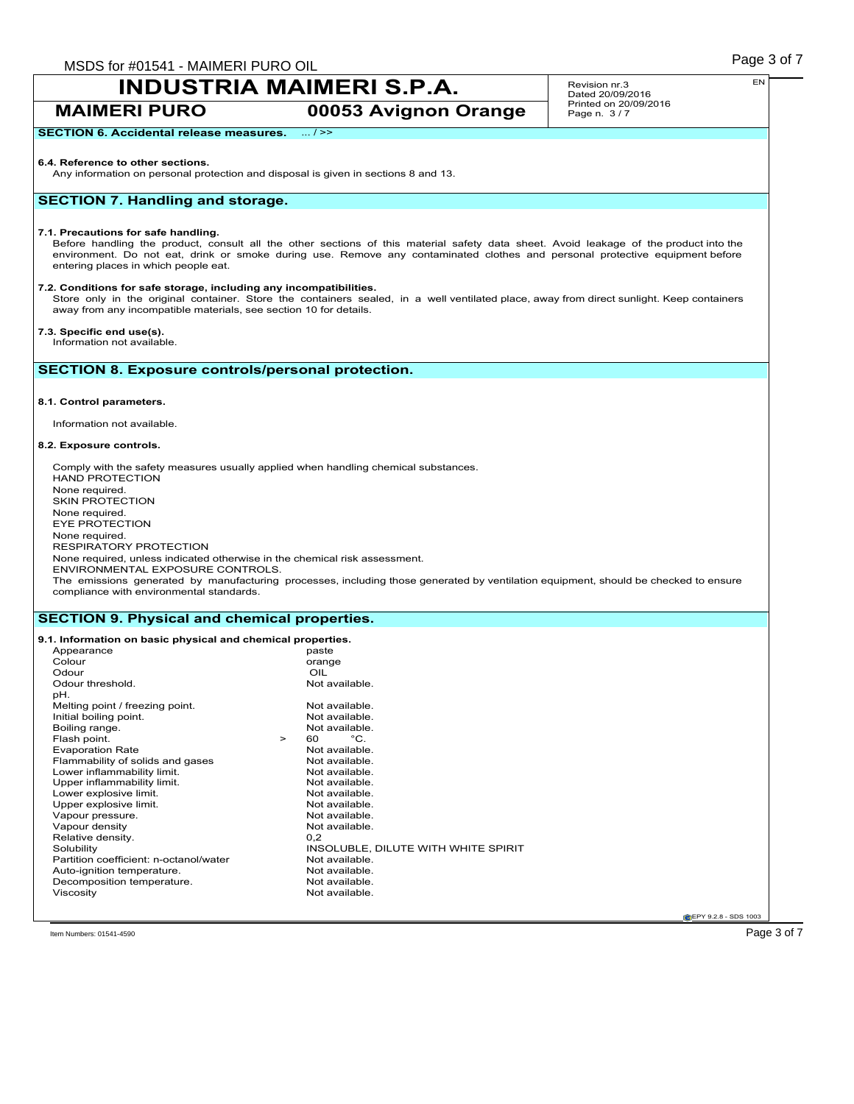**MAIMERI PURO 00053 Avignon Orange**

Revision nr.3 Dated 20/09/2016 Printed on 20/09/2016 Page n. 3/7

# **SECTION 6. Accidental release measures.** ... / >>

#### **6.4. Reference to other sections.**

Any information on personal protection and disposal is given in sections 8 and 13.

# **SECTION 7. Handling and storage.**

#### **7.1. Precautions for safe handling.**

Before handling the product, consult all the other sections of this material safety data sheet. Avoid leakage of the product into the environment. Do not eat, drink or smoke during use. Remove any contaminated clothes and personal protective equipment before entering places in which people eat.

### **7.2. Conditions for safe storage, including any incompatibilities.**

Store only in the original container. Store the containers sealed, in a well ventilated place, away from direct sunlight. Keep containers away from any incompatible materials, see section 10 for details.

### **7.3. Specific end use(s).**

Information not available.

# **SECTION 8. Exposure controls/personal protection.**

### **8.1. Control parameters.**

Information not available.

### **8.2. Exposure controls.**

Comply with the safety measures usually applied when handling chemical substances. HAND PROTECTION None required. SKIN PROTECTION None required. EYE PROTECTION None required. RESPIRATORY PROTECTION None required, unless indicated otherwise in the chemical risk assessment. ENVIRONMENTAL EXPOSURE CONTROLS. The emissions generated by manufacturing processes, including those generated by ventilation equipment, should be checked to ensure compliance with environmental standards.

### **SECTION 9. Physical and chemical properties.**

#### **9.1. Information on basic physical and chemical properties.** Appearance<br>Colour orange<br>OIL Odour OIL Odour threshold. pH. Melting point / freezing point.<br>
Initial boiling point.<br>
Not available. Initial boiling point.<br>
Boiling range.<br>
Not available. Boiling range. Not available to the set of the Not available to the Not available. Not available to the Not available. Not available to the Not available. Not available to the Not available. Not available to the Not availa Flash point.  $\begin{array}{ccc} 5 & 5 & 5 \\ 2 & 5 & 6 \\ 6 & 7 & 7 \end{array}$  Point Practice Rate Not available. Evaporation Rate<br>
Flammability of solids and gases<br>
Not available. Flammability of solids and gases Not available.<br>
Not available.<br>
Not available. Lower inflammability limit.<br>
Upper inflammability limit.<br>
Upper inflammability limit.<br>
Not available. Upper inflammability limit.<br>
Lower explosive limit.<br>
Not available. Lower explosive limit.<br>
Upper explosive limit.<br>
Upper explosive limit. Upper explosive limit.<br>
Vapour pressure.<br>
Vapour pressure.<br>
Not available. Vapour pressure.<br>
Vapour density<br>
Vapour density<br>
Vapour density Vapour density Not<br>
Relative density 0.2 Relative density.<br>Solubility INSOLUBLE, DILUTE WITH WHITE SPIRIT<br>Not available Partition coefficient: n-octanol/water Not available.<br>
Auto-ignition temperature Not available Auto-ignition temperature.<br>
Decomposition temperature<br>
Not available. Decomposition temperature. Viscosity **Not available.**

**CEPY 9.2.8 - SDS 1003** 

 $\Gamma$ ltem Numbers: 01541-4590  $\overline{\phantom{0}}$ 

EN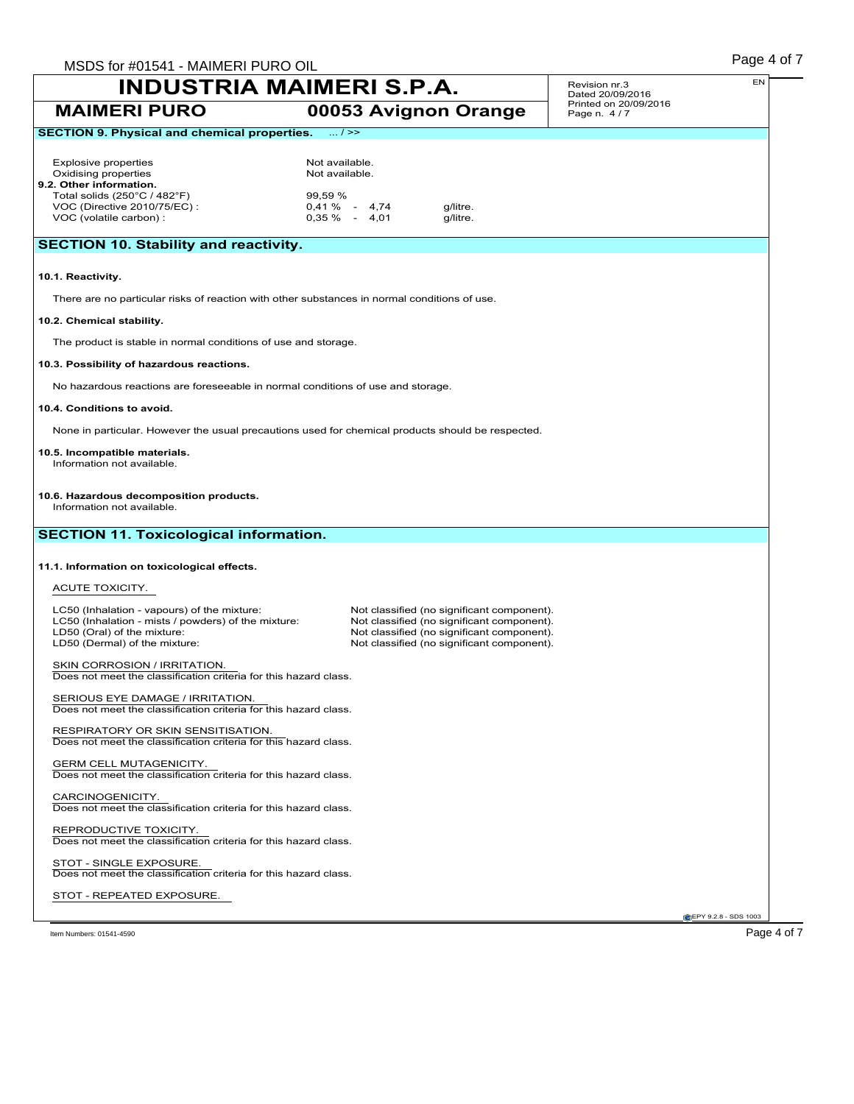| MSDS for #01541 - MAIMERI PURO OIL                                                                                                                                 |                                                                                                                                                                                      | Page 4 of 7                          |
|--------------------------------------------------------------------------------------------------------------------------------------------------------------------|--------------------------------------------------------------------------------------------------------------------------------------------------------------------------------------|--------------------------------------|
| <b>INDUSTRIA MAIMERI S.P.A.</b>                                                                                                                                    | EN<br>Revision nr.3<br>Dated 20/09/2016                                                                                                                                              |                                      |
| <b>MAIMERI PURO</b>                                                                                                                                                | 00053 Avignon Orange                                                                                                                                                                 | Printed on 20/09/2016<br>Page n. 4/7 |
| <b>SECTION 9. Physical and chemical properties.</b>                                                                                                                | $\dots/$ >>                                                                                                                                                                          |                                      |
| <b>Explosive properties</b><br>Oxidising properties<br>9.2. Other information.                                                                                     | Not available.<br>Not available.                                                                                                                                                     |                                      |
| Total solids $(250^{\circ}C / 482^{\circ}F)$<br>VOC (Directive 2010/75/EC) :<br>VOC (volatile carbon) :                                                            | 99,59 %<br>$0.41 \%$ - 4,74<br>g/litre.<br>$0.35\% - 4.01$<br>g/litre.                                                                                                               |                                      |
| <b>SECTION 10. Stability and reactivity.</b>                                                                                                                       |                                                                                                                                                                                      |                                      |
| 10.1. Reactivity.                                                                                                                                                  |                                                                                                                                                                                      |                                      |
|                                                                                                                                                                    | There are no particular risks of reaction with other substances in normal conditions of use.                                                                                         |                                      |
| 10.2. Chemical stability.                                                                                                                                          |                                                                                                                                                                                      |                                      |
| The product is stable in normal conditions of use and storage.                                                                                                     |                                                                                                                                                                                      |                                      |
| 10.3. Possibility of hazardous reactions.                                                                                                                          |                                                                                                                                                                                      |                                      |
| No hazardous reactions are foreseeable in normal conditions of use and storage.                                                                                    |                                                                                                                                                                                      |                                      |
| 10.4. Conditions to avoid.                                                                                                                                         |                                                                                                                                                                                      |                                      |
|                                                                                                                                                                    | None in particular. However the usual precautions used for chemical products should be respected.                                                                                    |                                      |
| 10.5. Incompatible materials.<br>Information not available.                                                                                                        |                                                                                                                                                                                      |                                      |
| 10.6. Hazardous decomposition products.<br>Information not available.                                                                                              |                                                                                                                                                                                      |                                      |
| <b>SECTION 11. Toxicological information.</b>                                                                                                                      |                                                                                                                                                                                      |                                      |
| 11.1. Information on toxicological effects.                                                                                                                        |                                                                                                                                                                                      |                                      |
| ACUTE TOXICITY.                                                                                                                                                    |                                                                                                                                                                                      |                                      |
| LC50 (Inhalation - vapours) of the mixture:<br>LC50 (Inhalation - mists / powders) of the mixture:<br>LD50 (Oral) of the mixture:<br>LD50 (Dermal) of the mixture: | Not classified (no significant component).<br>Not classified (no significant component).<br>Not classified (no significant component).<br>Not classified (no significant component). |                                      |
| SKIN CORROSION / IRRITATION.<br>Does not meet the classification criteria for this hazard class.                                                                   |                                                                                                                                                                                      |                                      |
| SERIOUS EYE DAMAGE / IRRITATION.<br>Does not meet the classification criteria for this hazard class.                                                               |                                                                                                                                                                                      |                                      |
| RESPIRATORY OR SKIN SENSITISATION.<br>Does not meet the classification criteria for this hazard class.                                                             |                                                                                                                                                                                      |                                      |
| <b>GERM CELL MUTAGENICITY.</b><br>Does not meet the classification criteria for this hazard class.                                                                 |                                                                                                                                                                                      |                                      |
| CARCINOGENICITY.<br>Does not meet the classification criteria for this hazard class.                                                                               |                                                                                                                                                                                      |                                      |
| REPRODUCTIVE TOXICITY.<br>Does not meet the classification criteria for this hazard class.                                                                         |                                                                                                                                                                                      |                                      |
| STOT - SINGLE EXPOSURE.<br>Does not meet the classification criteria for this hazard class.                                                                        |                                                                                                                                                                                      |                                      |
| STOT - REPEATED EXPOSURE.                                                                                                                                          |                                                                                                                                                                                      |                                      |
|                                                                                                                                                                    |                                                                                                                                                                                      | EPY 9.2.8 - SDS 1003                 |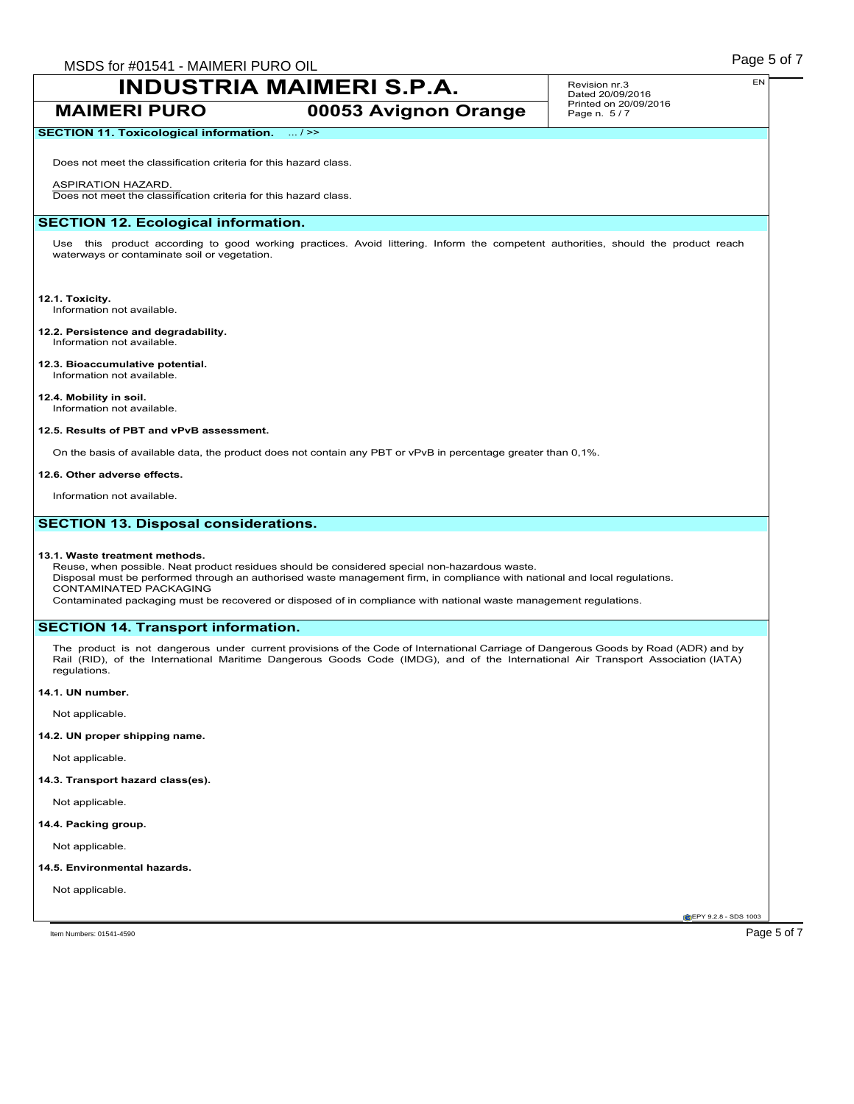Revision nr.3 Dated 20/09/2016 Printed on 20/09/2016 Page n. 5 / 7

# **MAIMERI PURO 00053 Avignon Orange**

# **SECTION 11. Toxicological information.** ... / >>

Does not meet the classification criteria for this hazard class.

### ASPIRATION HAZARD.

Does not meet the classification criteria for this hazard class.

# **SECTION 12. Ecological information.**

Use this product according to good working practices. Avoid littering. Inform the competent authorities, should the product reach waterways or contaminate soil or vegetation.

# **12.1. Toxicity.**

Information not available.

#### **12.2. Persistence and degradability.** Information not available.

**12.3. Bioaccumulative potential.** Information not available.

# **12.4. Mobility in soil.**

Information not available.

### **12.5. Results of PBT and vPvB assessment.**

On the basis of available data, the product does not contain any PBT or vPvB in percentage greater than 0,1%.

### **12.6. Other adverse effects.**

Information not available.

# **SECTION 13. Disposal considerations.**

### **13.1. Waste treatment methods.**

Reuse, when possible. Neat product residues should be considered special non-hazardous waste. Disposal must be performed through an authorised waste management firm, in compliance with national and local regulations. CONTAMINATED PACKAGING

Contaminated packaging must be recovered or disposed of in compliance with national waste management regulations.

# **SECTION 14. Transport information.**

The product is not dangerous under current provisions of the Code of International Carriage of Dangerous Goods by Road (ADR) and by Rail (RID), of the International Maritime Dangerous Goods Code (IMDG), and of the International Air Transport Association (IATA) regulations.

### **14.1. UN number.**

Not applicable.

## **14.2. UN proper shipping name.**

Not applicable.

### **14.3. Transport hazard class(es).**

Not applicable.

### **14.4. Packing group.**

Not applicable.

### **14.5. Environmental hazards.**

Not applicable.

**CEPY 9.2.8 - SDS 1003** 

EN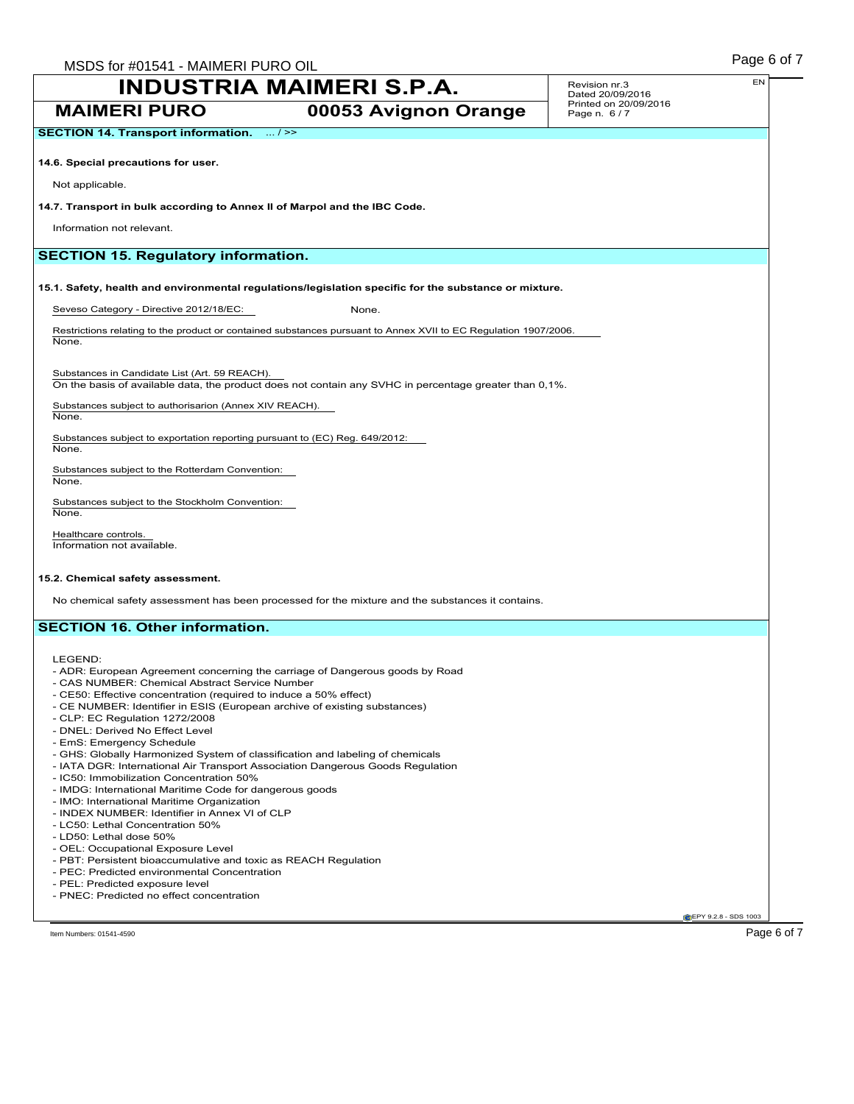| <b>INDUSTRIA MAIMERI S.P.A.</b>                                                                                     | Revision nr.3<br>Dated 20/09/2016                                                                               | EN                                   |                                |
|---------------------------------------------------------------------------------------------------------------------|-----------------------------------------------------------------------------------------------------------------|--------------------------------------|--------------------------------|
| <b>MAIMERI PURO</b>                                                                                                 | 00053 Avignon Orange                                                                                            | Printed on 20/09/2016<br>Page n. 6/7 |                                |
| <b>SECTION 14. Transport information.</b> / >>                                                                      |                                                                                                                 |                                      |                                |
| 14.6. Special precautions for user.                                                                                 |                                                                                                                 |                                      |                                |
| Not applicable.                                                                                                     |                                                                                                                 |                                      |                                |
| 14.7. Transport in bulk according to Annex II of Marpol and the IBC Code.                                           |                                                                                                                 |                                      |                                |
| Information not relevant.                                                                                           |                                                                                                                 |                                      |                                |
| <b>SECTION 15. Regulatory information.</b>                                                                          |                                                                                                                 |                                      |                                |
|                                                                                                                     | 15.1. Safety, health and environmental regulations/legislation specific for the substance or mixture.           |                                      |                                |
| Seveso Category - Directive 2012/18/EC:                                                                             | None.                                                                                                           |                                      |                                |
| None.                                                                                                               | Restrictions relating to the product or contained substances pursuant to Annex XVII to EC Regulation 1907/2006. |                                      |                                |
| Substances in Candidate List (Art. 59 REACH).                                                                       | On the basis of available data, the product does not contain any SVHC in percentage greater than 0,1%.          |                                      |                                |
| Substances subject to authorisarion (Annex XIV REACH).<br>None.                                                     |                                                                                                                 |                                      |                                |
| Substances subject to exportation reporting pursuant to (EC) Reg. 649/2012:<br>None.                                |                                                                                                                 |                                      |                                |
| Substances subject to the Rotterdam Convention:<br>None.                                                            |                                                                                                                 |                                      |                                |
| Substances subject to the Stockholm Convention:<br>None.                                                            |                                                                                                                 |                                      |                                |
| Healthcare controls.<br>Information not available.                                                                  |                                                                                                                 |                                      |                                |
| 15.2. Chemical safety assessment.                                                                                   |                                                                                                                 |                                      |                                |
|                                                                                                                     | No chemical safety assessment has been processed for the mixture and the substances it contains.                |                                      |                                |
| <b>SECTION 16. Other information.</b>                                                                               |                                                                                                                 |                                      |                                |
| LEGEND:                                                                                                             |                                                                                                                 |                                      |                                |
| - ADR: European Agreement concerning the carriage of Dangerous goods by Road                                        |                                                                                                                 |                                      |                                |
| - CAS NUMBER: Chemical Abstract Service Number<br>- CE50: Effective concentration (required to induce a 50% effect) |                                                                                                                 |                                      |                                |
| - CE NUMBER: Identifier in ESIS (European archive of existing substances)                                           |                                                                                                                 |                                      |                                |
| - CLP: EC Regulation 1272/2008<br>- DNEL: Derived No Effect Level                                                   |                                                                                                                 |                                      |                                |
| - EmS: Emergency Schedule                                                                                           |                                                                                                                 |                                      |                                |
| - GHS: Globally Harmonized System of classification and labeling of chemicals                                       |                                                                                                                 |                                      |                                |
| - IATA DGR: International Air Transport Association Dangerous Goods Regulation                                      |                                                                                                                 |                                      |                                |
| - IC50: Immobilization Concentration 50%                                                                            |                                                                                                                 |                                      |                                |
| - IMDG: International Maritime Code for dangerous goods<br>- IMO: International Maritime Organization               |                                                                                                                 |                                      |                                |
| - INDEX NUMBER: Identifier in Annex VI of CLP                                                                       |                                                                                                                 |                                      |                                |
| - LC50: Lethal Concentration 50%                                                                                    |                                                                                                                 |                                      |                                |
| - LD50: Lethal dose 50%                                                                                             |                                                                                                                 |                                      |                                |
| - OEL: Occupational Exposure Level                                                                                  |                                                                                                                 |                                      |                                |
| - PBT: Persistent bioaccumulative and toxic as REACH Regulation                                                     |                                                                                                                 |                                      |                                |
| - PEC: Predicted environmental Concentration<br>- PEL: Predicted exposure level                                     |                                                                                                                 |                                      |                                |
| - PNEC: Predicted no effect concentration                                                                           |                                                                                                                 |                                      |                                |
|                                                                                                                     |                                                                                                                 |                                      | <b>C</b> IEPY 9.2.8 - SDS 1003 |
| Item Numbers: 01541-4590                                                                                            |                                                                                                                 |                                      | Page 6 of 7                    |
|                                                                                                                     |                                                                                                                 |                                      |                                |